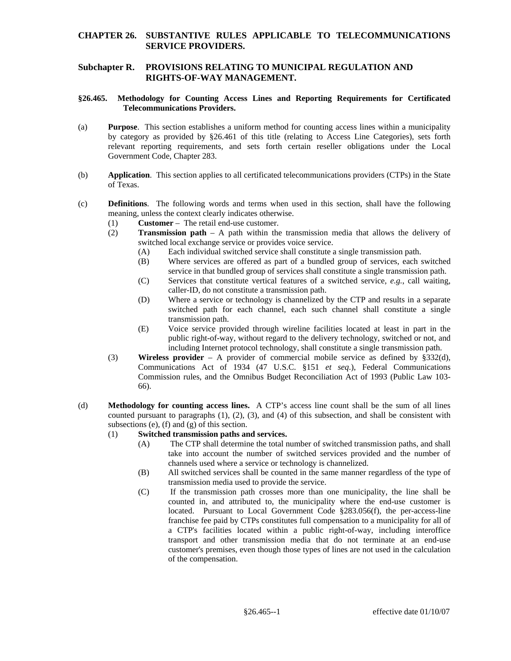### **CHAPTER 26. SUBSTANTIVE RULES APPLICABLE TO TELECOMMUNICATIONS SERVICE PROVIDERS.**

# **Subchapter R. PROVISIONS RELATING TO MUNICIPAL REGULATION AND RIGHTS-OF-WAY MANAGEMENT.**

#### **§26.465. Methodology for Counting Access Lines and Reporting Requirements for Certificated Telecommunications Providers.**

- Government Code, Chapter 283. (a) **Purpose**. This section establishes a uniform method for counting access lines within a municipality by category as provided by §26.461 of this title (relating to Access Line Categories), sets forth relevant reporting requirements, and sets forth certain reseller obligations under the Local
- (b) **Application**. This section applies to all certificated telecommunications providers (CTPs) in the State of Texas.
- (c) **Definitions**. The following words and terms when used in this section, shall have the following meaning, unless the context clearly indicates otherwise.
	- (1) **Customer**  The retail end-use customer.
	- (2) **Transmission path** A path within the transmission media that allows the delivery of switched local exchange service or provides voice service.
		- (A) Each individual switched service shall constitute a single transmission path.
		- service in that bundled group of services shall constitute a single transmission path. (B) Where services are offered as part of a bundled group of services, each switched
		- (C) Services that constitute vertical features of a switched service, *e.g.*, call waiting, caller-ID, do not constitute a transmission path.
		- (D) Where a service or technology is channelized by the CTP and results in a separate switched path for each channel, each such channel shall constitute a single transmission path.
		- (E) Voice service provided through wireline facilities located at least in part in the public right-of-way, without regard to the delivery technology, switched or not, and including Internet protocol technology, shall constitute a single transmission path.
	- (3) **Wireless provider**  A provider of commercial mobile service as defined by §332(d), Commission rules, and the Omnibus Budget Reconciliation Act of 1993 (Public Law 103- Communications Act of 1934 (47 U.S.C. §151 *et seq*.), Federal Communications 66).
- subsections (e), (f) and (g) of this section. (d) **Methodology for counting access lines.** A CTP's access line count shall be the sum of all lines counted pursuant to paragraphs (1), (2), (3), and (4) of this subsection, and shall be consistent with

#### (1) **Switched transmission paths and services.**

- (A) The CTP shall determine the total number of switched transmission paths, and shall take into account the number of switched services provided and the number of channels used where a service or technology is channelized.
- (B) All switched services shall be counted in the same manner regardless of the type of transmission media used to provide the service.
- a CTP's facilities located within a public right-of-way, including interoffice (C) If the transmission path crosses more than one municipality, the line shall be counted in, and attributed to, the municipality where the end-use customer is located. Pursuant to Local Government Code §283.056(f), the per-access-line franchise fee paid by CTPs constitutes full compensation to a municipality for all of transport and other transmission media that do not terminate at an end-use customer's premises, even though those types of lines are not used in the calculation of the compensation.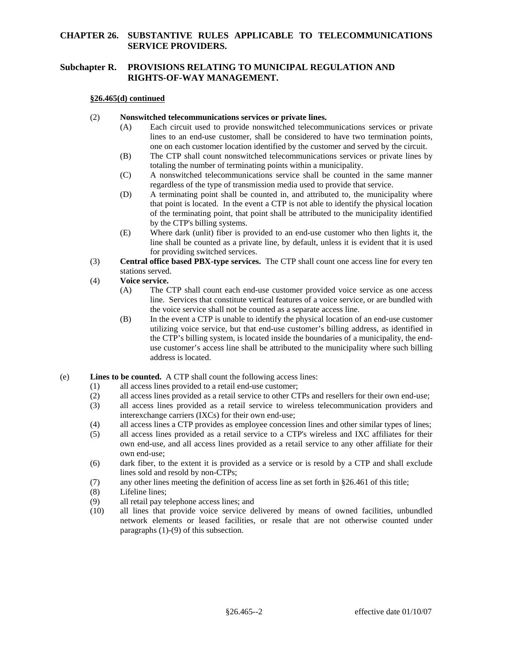# **CHAPTER 26. SUBSTANTIVE RULES APPLICABLE TO TELECOMMUNICATIONS SERVICE PROVIDERS.**

# **Subchapter R. PROVISIONS RELATING TO MUNICIPAL REGULATION AND RIGHTS-OF-WAY MANAGEMENT.**

### **§26.465(d) continued**

### (2) **Nonswitched telecommunications services or private lines.**

- (A) Each circuit used to provide nonswitched telecommunications services or private lines to an end-use customer, shall be considered to have two termination points, one on each customer location identified by the customer and served by the circuit.
- (B) The CTP shall count nonswitched telecommunications services or private lines by totaling the number of terminating points within a municipality.
- $(C)$  regardless of the type of transmission media used to provide that service. A nonswitched telecommunications service shall be counted in the same manner
- (D) A terminating point shall be counted in, and attributed to, the municipality where that point is located. In the event a CTP is not able to identify the physical location of the terminating point, that point shall be attributed to the municipality identified by the CTP's billing systems.
- (E) Where dark (unlit) fiber is provided to an end-use customer who then lights it, the line shall be counted as a private line, by default, unless it is evident that it is used for providing switched services.
- (3) **Central office based PBX-type services.** The CTP shall count one access line for every ten stations served.

# (4) **Voice service.**

- (A) The CTP shall count each end-use customer provided voice service as one access line. Services that constitute vertical features of a voice service, or are bundled with the voice service shall not be counted as a separate access line.
- (B) In the event a CTP is unable to identify the physical location of an end-use customer utilizing voice service, but that end-use customer's billing address, as identified in the CTP's billing system, is located inside the boundaries of a municipality, the enduse customer's access line shall be attributed to the municipality where such billing address is located.

### (e) **Lines to be counted.** A CTP shall count the following access lines:

- (1) all access lines provided to a retail end-use customer;
- (2) all access lines provided as a retail service to other CTPs and resellers for their own end-use;
- (3) all access lines provided as a retail service to wireless telecommunication providers and interexchange carriers (IXCs) for their own end-use;
- (4) all access lines a CTP provides as employee concession lines and other similar types of lines;
- own end-use: (5) all access lines provided as a retail service to a CTP's wireless and IXC affiliates for their own end-use, and all access lines provided as a retail service to any other affiliate for their
- $(6)$  dark fiber, to the extent it is provided as a service or is resold by a CTP and shall exclude lines sold and resold by non-CTPs;
- (7) any other lines meeting the definition of access line as set forth in §26.461 of this title;
- (8) Lifeline lines;
- (9) all retail pay telephone access lines; and
- paragraphs (1)-(9) of this subsection. (10) all lines that provide voice service delivered by means of owned facilities, unbundled network elements or leased facilities, or resale that are not otherwise counted under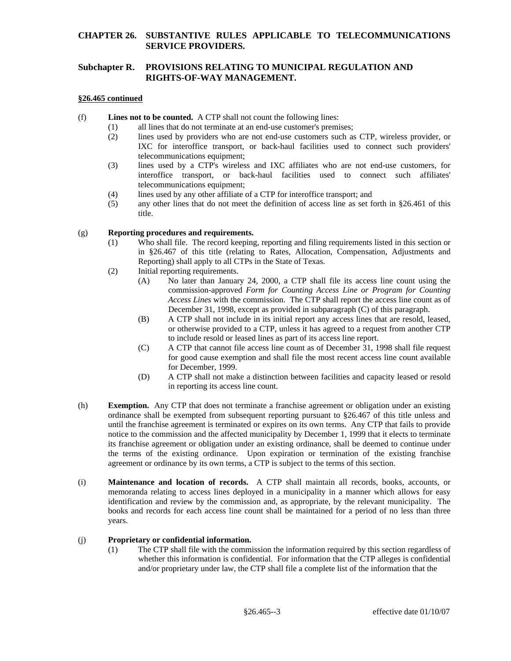## **CHAPTER 26. SUBSTANTIVE RULES APPLICABLE TO TELECOMMUNICATIONS SERVICE PROVIDERS.**

# **Subchapter R. PROVISIONS RELATING TO MUNICIPAL REGULATION AND RIGHTS-OF-WAY MANAGEMENT.**

### **§26.465 continued**

- (f) **Lines not to be counted.** A CTP shall not count the following lines:
	- (1) all lines that do not terminate at an end-use customer's premises;
		- (2) lines used by providers who are not end-use customers such as CTP, wireless provider, or IXC for interoffice transport, or back-haul facilities used to connect such providers' telecommunications equipment;
		- telecommunications equipment; (3) lines used by a CTP's wireless and IXC affiliates who are not end-use customers, for interoffice transport, or back-haul facilities used to connect such affiliates'
		- $(4)$  lines used by any other affiliate of a CTP for interoffice transport; and
		- (5) any other lines that do not meet the definition of access line as set forth in §26.461 of this title.

### (g) **Reporting procedures and requirements.**

- (1) Who shall file. The record keeping, reporting and filing requirements listed in this section or in §26.467 of this title (relating to Rates, Allocation, Compensation, Adjustments and Reporting) shall apply to all CTPs in the State of Texas.
- (2) Initial reporting requirements.
	- commission-approved *Form for Counting Access Line or Program for Counting*  (A) No later than January 24, 2000, a CTP shall file its access line count using the *Access Lines* with the commission. The CTP shall report the access line count as of December 31, 1998, except as provided in subparagraph (C) of this paragraph.
	- (B) A CTP shall not include in its initial report any access lines that are resold, leased, or otherwise provided to a CTP, unless it has agreed to a request from another CTP to include resold or leased lines as part of its access line report.
	- (C) A CTP that cannot file access line count as of December 31, 1998 shall file request for good cause exemption and shall file the most recent access line count available for December, 1999.
	- (D) A CTP shall not make a distinction between facilities and capacity leased or resold in reporting its access line count.
- (h) **Exemption.** Any CTP that does not terminate a franchise agreement or obligation under an existing ordinance shall be exempted from subsequent reporting pursuant to §26.467 of this title unless and until the franchise agreement is terminated or expires on its own terms. Any CTP that fails to provide notice to the commission and the affected municipality by December 1, 1999 that it elects to terminate its franchise agreement or obligation under an existing ordinance, shall be deemed to continue under the terms of the existing ordinance. Upon expiration or termination of the existing franchise agreement or ordinance by its own terms, a CTP is subject to the terms of this section.
- (i) **Maintenance and location of records.** A CTP shall maintain all records, books, accounts, or memoranda relating to access lines deployed in a municipality in a manner which allows for easy identification and review by the commission and, as appropriate, by the relevant municipality. The books and records for each access line count shall be maintained for a period of no less than three years.

## (j) **Proprietary or confidential information.**

(1) The CTP shall file with the commission the information required by this section regardless of whether this information is confidential. For information that the CTP alleges is confidential and/or proprietary under law, the CTP shall file a complete list of the information that the